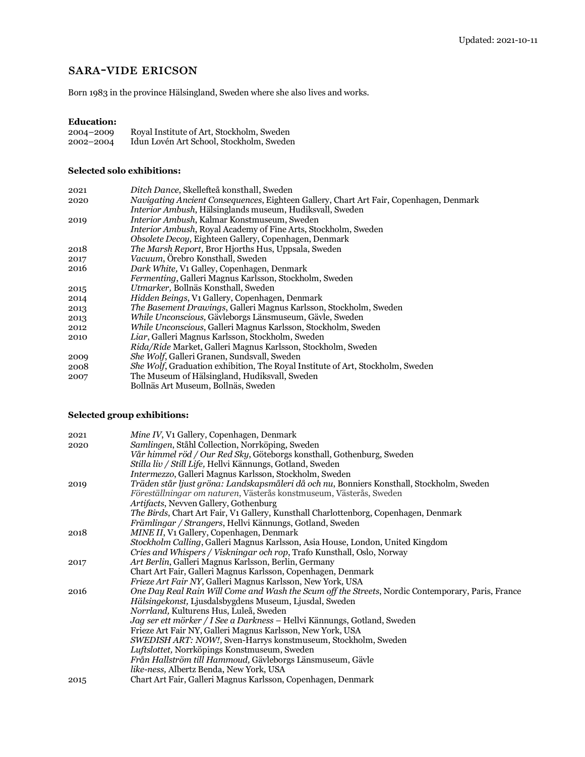# sara-vide ericson

Born 1983 in the province Hälsingland, Sweden where she also lives and works.

### **Education:**

| 2004-2009 | Royal Institute of Art, Stockholm, Sweden |
|-----------|-------------------------------------------|
| 2002-2004 | Idun Lovén Art School, Stockholm, Sweden  |

### **Selected solo exhibitions:**

| 2021 | Ditch Dance, Skellefteå konsthall, Sweden                                              |
|------|----------------------------------------------------------------------------------------|
| 2020 | Navigating Ancient Consequences, Eighteen Gallery, Chart Art Fair, Copenhagen, Denmark |
|      | <i>Interior Ambush</i> , Hälsinglands museum, Hudiksvall, Sweden                       |
| 2019 | <i>Interior Ambush, Kalmar Konstmuseum, Sweden</i>                                     |
|      | <i>Interior Ambush, Royal Academy of Fine Arts, Stockholm, Sweden</i>                  |
|      | Obsolete Decoy, Eighteen Gallery, Copenhagen, Denmark                                  |
| 2018 | <i>The Marsh Report, Bror Hjorths Hus, Uppsala, Sweden</i>                             |
| 2017 | <i>Vacuum</i> , Orebro Konsthall, Sweden                                               |
| 2016 | Dark White, V1 Galley, Copenhagen, Denmark                                             |
|      | <i>Fermenting</i> , Galleri Magnus Karlsson, Stockholm, Sweden                         |
| 2015 | Utmarker, Bollnäs Konsthall, Sweden                                                    |
| 2014 | Hidden Beings, V1 Gallery, Copenhagen, Denmark                                         |
| 2013 | <i>The Basement Drawings, Galleri Magnus Karlsson, Stockholm, Sweden</i>               |
| 2013 | While Unconscious, Gävleborgs Länsmuseum, Gävle, Sweden                                |
| 2012 | While Unconscious, Galleri Magnus Karlsson, Stockholm, Sweden                          |
| 2010 | Liar, Galleri Magnus Karlsson, Stockholm, Sweden                                       |
|      | <i>Rida/Ride Market, Galleri Magnus Karlsson, Stockholm, Sweden</i>                    |
| 2009 | She Wolf, Galleri Granen, Sundsvall, Sweden                                            |
| 2008 | <i>She Wolf</i> , Graduation exhibition, The Royal Institute of Art, Stockholm, Sweden |
| 2007 | The Museum of Hälsingland, Hudiksvall, Sweden                                          |
|      | Bollnäs Art Museum, Bollnäs, Sweden                                                    |

## **Selected group exhibitions:**

| 2021 | Mine IV, V1 Gallery, Copenhagen, Denmark                                                                 |
|------|----------------------------------------------------------------------------------------------------------|
| 2020 | Samlingen, Ståhl Collection, Norrköping, Sweden                                                          |
|      | Vår himmel röd / Our Red Sky, Göteborgs konsthall, Gothenburg, Sweden                                    |
|      | Stilla liv / Still Life, Hellvi Kännungs, Gotland, Sweden                                                |
|      | Intermezzo, Galleri Magnus Karlsson, Stockholm, Sweden                                                   |
| 2019 | Träden står ljust gröna: Landskapsmåleri då och nu, Bonniers Konsthall, Stockholm, Sweden                |
|      | Föreställningar om naturen, Västerås konstmuseum, Västerås, Sweden                                       |
|      | Artifacts, Nevven Gallery, Gothenburg                                                                    |
|      | <i>The Birds</i> , Chart Art Fair, V <sub>1</sub> Gallery, Kunsthall Charlottenborg, Copenhagen, Denmark |
|      | Främlingar / Strangers, Hellvi Kännungs, Gotland, Sweden                                                 |
| 2018 | MINE II, V1 Gallery, Copenhagen, Denmark                                                                 |
|      | Stockholm Calling, Galleri Magnus Karlsson, Asia House, London, United Kingdom                           |
|      | Cries and Whispers / Viskningar och rop, Trafo Kunsthall, Oslo, Norway                                   |
| 2017 | Art Berlin, Galleri Magnus Karlsson, Berlin, Germany                                                     |
|      | Chart Art Fair, Galleri Magnus Karlsson, Copenhagen, Denmark                                             |
|      | <i>Frieze Art Fair NY</i> , Galleri Magnus Karlsson, New York, USA                                       |
| 2016 | One Day Real Rain Will Come and Wash the Scum off the Streets, Nordic Contemporary, Paris, France        |
|      | Hälsingekonst, Ljusdalsbygdens Museum, Ljusdal, Sweden                                                   |
|      | Norrland, Kulturens Hus, Luleå, Sweden                                                                   |
|      | Jag ser ett mörker / I See a Darkness – Hellvi Kännungs, Gotland, Sweden                                 |
|      | Frieze Art Fair NY, Galleri Magnus Karlsson, New York, USA                                               |
|      | SWEDISH ART: NOW!, Sven-Harrys konstmuseum, Stockholm, Sweden                                            |
|      | Luftslottet, Norrköpings Konstmuseum, Sweden                                                             |
|      | Från Hallström till Hammoud, Gävleborgs Länsmuseum, Gävle                                                |
|      | like-ness, Albertz Benda, New York, USA                                                                  |
| 2015 | Chart Art Fair, Galleri Magnus Karlsson, Copenhagen, Denmark                                             |
|      |                                                                                                          |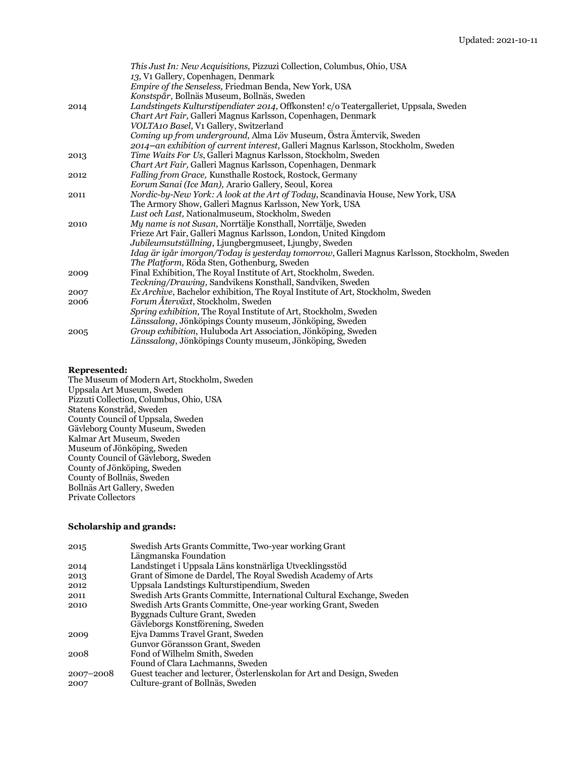|      | <i>This Just In: New Acquisitions, Pizzuzi Collection, Columbus, Ohio, USA</i>               |
|------|----------------------------------------------------------------------------------------------|
|      | 13, V1 Gallery, Copenhagen, Denmark                                                          |
|      | Empire of the Senseless, Friedman Benda, New York, USA                                       |
|      | Konstspår, Bollnäs Museum, Bollnäs, Sweden                                                   |
| 2014 | Landstingets Kulturstipendiater 2014, Offkonsten! c/o Teatergalleriet, Uppsala, Sweden       |
|      | Chart Art Fair, Galleri Magnus Karlsson, Copenhagen, Denmark                                 |
|      | VOLTA10 Basel, V1 Gallery, Switzerland                                                       |
|      | Coming up from underground, Alma Löv Museum, Östra Ämtervik, Sweden                          |
|      | 2014-an exhibition of current interest, Galleri Magnus Karlsson, Stockholm, Sweden           |
| 2013 | Time Waits For Us, Galleri Magnus Karlsson, Stockholm, Sweden                                |
|      | Chart Art Fair, Galleri Magnus Karlsson, Copenhagen, Denmark                                 |
| 2012 | Falling from Grace, Kunsthalle Rostock, Rostock, Germany                                     |
|      | Eorum Sanai (Ice Man), Arario Gallery, Seoul, Korea                                          |
| 2011 | Nordic-by-New York: A look at the Art of Today, Scandinavia House, New York, USA             |
|      | The Armory Show, Galleri Magnus Karlsson, New York, USA                                      |
|      | Lust och Last, Nationalmuseum, Stockholm, Sweden                                             |
| 2010 | My name is not Susan, Norrtälje Konsthall, Norrtälje, Sweden                                 |
|      | Frieze Art Fair, Galleri Magnus Karlsson, London, United Kingdom                             |
|      | Jubileumsutställning, Ljungbergmuseet, Ljungby, Sweden                                       |
|      | Idag är igår imorgon/Today is yesterday tomorrow, Galleri Magnus Karlsson, Stockholm, Sweden |
|      | The Platform, Röda Sten, Gothenburg, Sweden                                                  |
| 2009 | Final Exhibition, The Royal Institute of Art, Stockholm, Sweden.                             |
|      | Teckning/Drawing, Sandvikens Konsthall, Sandviken, Sweden                                    |
| 2007 | Ex Archive, Bachelor exhibition, The Royal Institute of Art, Stockholm, Sweden               |
| 2006 | Forum Återväxt, Stockholm, Sweden                                                            |
|      | Spring exhibition, The Royal Institute of Art, Stockholm, Sweden                             |
|      | Länssalong, Jönköpings County museum, Jönköping, Sweden                                      |
| 2005 | Group exhibition, Huluboda Art Association, Jönköping, Sweden                                |
|      | Länssalong, Jönköpings County museum, Jönköping, Sweden                                      |

### **Represented:**

The Museum of Modern Art, Stockholm, Sweden Uppsala Art Museum, Sweden Pizzuti Collection, Columbus, Ohio, USA Statens Konstråd, Sweden County Council of Uppsala, Sweden Gävleborg County Museum, Sweden Kalmar Art Museum, Sweden Museum of Jönköping, Sweden County Council of Gävleborg, Sweden County of Jönköping, Sweden County of Bollnäs, Sweden Bollnäs Art Gallery, Sweden Private Collectors

#### **Scholarship and grands:**

| 2015      | Swedish Arts Grants Committe, Two-year working Grant                  |
|-----------|-----------------------------------------------------------------------|
|           | Längmanska Foundation                                                 |
| 2014      | Landstinget i Uppsala Läns konstnärliga Utvecklingsstöd               |
| 2013      | Grant of Simone de Dardel, The Royal Swedish Academy of Arts          |
| 2012      | Uppsala Landstings Kulturstipendium, Sweden                           |
| 2011      | Swedish Arts Grants Committe, International Cultural Exchange, Sweden |
| 2010      | Swedish Arts Grants Committe, One-year working Grant, Sweden          |
|           | Byggnads Culture Grant, Sweden                                        |
|           | Gävleborgs Konstförening, Sweden                                      |
| 2009      | Eiva Damms Travel Grant, Sweden                                       |
|           | Gunvor Göransson Grant, Sweden                                        |
| 2008      | Fond of Wilhelm Smith, Sweden                                         |
|           | Found of Clara Lachmanns, Sweden                                      |
| 2007-2008 | Guest teacher and lecturer, Osterlenskolan for Art and Design, Sweden |
| 2007      | Culture-grant of Bollnäs, Sweden                                      |